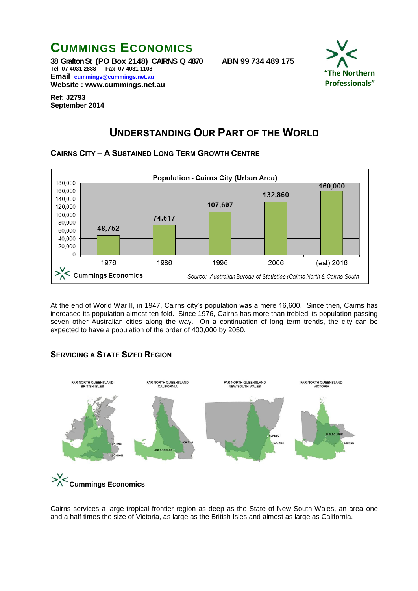

**Website : www.cummings.net.au**



**Ref: J2793 September 2014**

# **UNDERSTANDING OUR PART OF THE WORLD**

**CAIRNS CITY – A SUSTAINED LONG TERM GROWTH CENTRE**



At the end of World War II, in 1947, Cairns city's population was a mere 16,600. Since then, Cairns has increased its population almost ten-fold. Since 1976, Cairns has more than trebled its population passing seven other Australian cities along the way. On a continuation of long term trends, the city can be expected to have a population of the order of 400,000 by 2050.

#### **SERVICING A STATE SIZED REGION**



Cairns services a large tropical frontier region as deep as the State of New South Wales, an area one and a half times the size of Victoria, as large as the British Isles and almost as large as California.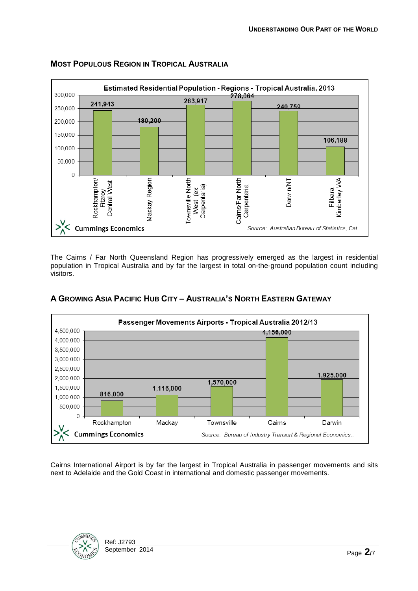

### **MOST POPULOUS REGION IN TROPICAL AUSTRALIA**

The Cairns / Far North Queensland Region has progressively emerged as the largest in residential population in Tropical Australia and by far the largest in total on-the-ground population count including visitors.



### **A GROWING ASIA PACIFIC HUB CITY – AUSTRALIA'S NORTH EASTERN GATEWAY**

Cairns International Airport is by far the largest in Tropical Australia in passenger movements and sits next to Adelaide and the Gold Coast in international and domestic passenger movements.

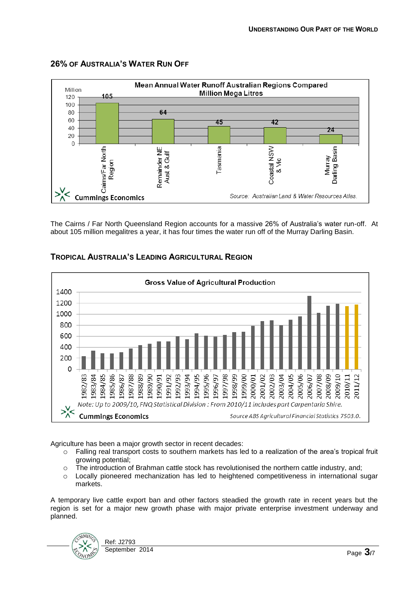

### **26% OF AUSTRALIA'S WATER RUN OFF**

The Cairns / Far North Queensland Region accounts for a massive 26% of Australia's water run-off. At about 105 million megalitres a year, it has four times the water run off of the Murray Darling Basin.



#### **TROPICAL AUSTRALIA'S LEADING AGRICULTURAL REGION**

Agriculture has been a major growth sector in recent decades:

- o Falling real transport costs to southern markets has led to a realization of the area's tropical fruit growing potential;
- $\circ$  The introduction of Brahman cattle stock has revolutionised the northern cattle industry, and;
- o Locally pioneered mechanization has led to heightened competitiveness in international sugar markets.

A temporary live cattle export ban and other factors steadied the growth rate in recent years but the region is set for a major new growth phase with major private enterprise investment underway and planned.

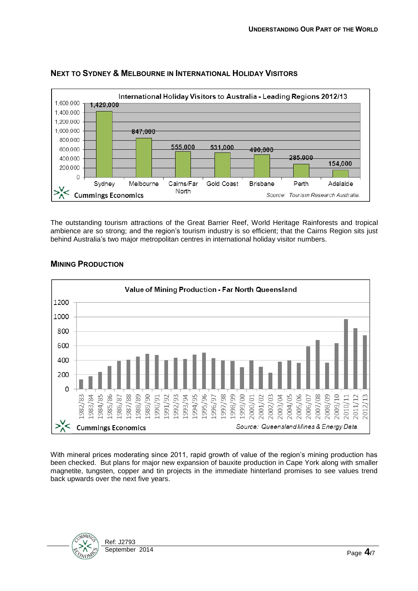

### **NEXT TO SYDNEY & MELBOURNE IN INTERNATIONAL HOLIDAY VISITORS**

The outstanding tourism attractions of the Great Barrier Reef, World Heritage Rainforests and tropical ambience are so strong; and the region's tourism industry is so efficient; that the Cairns Region sits just behind Australia's two major metropolitan centres in international holiday visitor numbers.



#### **MINING PRODUCTION**

With mineral prices moderating since 2011, rapid growth of value of the region's mining production has been checked. But plans for major new expansion of bauxite production in Cape York along with smaller magnetite, tungsten, copper and tin projects in the immediate hinterland promises to see values trend back upwards over the next five years.

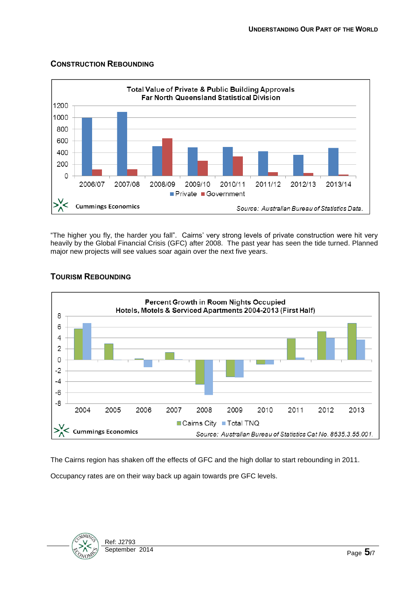#### **CONSTRUCTION REBOUNDING**



"The higher you fly, the harder you fall". Cairns' very strong levels of private construction were hit very heavily by the Global Financial Crisis (GFC) after 2008. The past year has seen the tide turned. Planned major new projects will see values soar again over the next five years.



### **TOURISM REBOUNDING**

The Cairns region has shaken off the effects of GFC and the high dollar to start rebounding in 2011.

Occupancy rates are on their way back up again towards pre GFC levels.

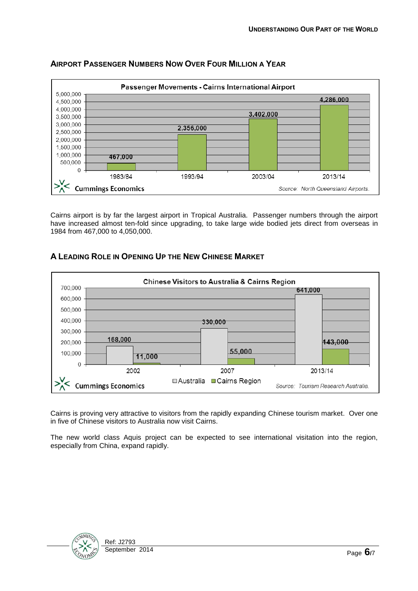

## **AIRPORT PASSENGER NUMBERS NOW OVER FOUR MILLION A YEAR**

Cairns airport is by far the largest airport in Tropical Australia. Passenger numbers through the airport have increased almost ten-fold since upgrading, to take large wide bodied jets direct from overseas in 1984 from 467,000 to 4,050,000.



#### **A LEADING ROLE IN OPENING UP THE NEW CHINESE MARKET**

Cairns is proving very attractive to visitors from the rapidly expanding Chinese tourism market. Over one in five of Chinese visitors to Australia now visit Cairns.

The new world class Aquis project can be expected to see international visitation into the region, especially from China, expand rapidly.